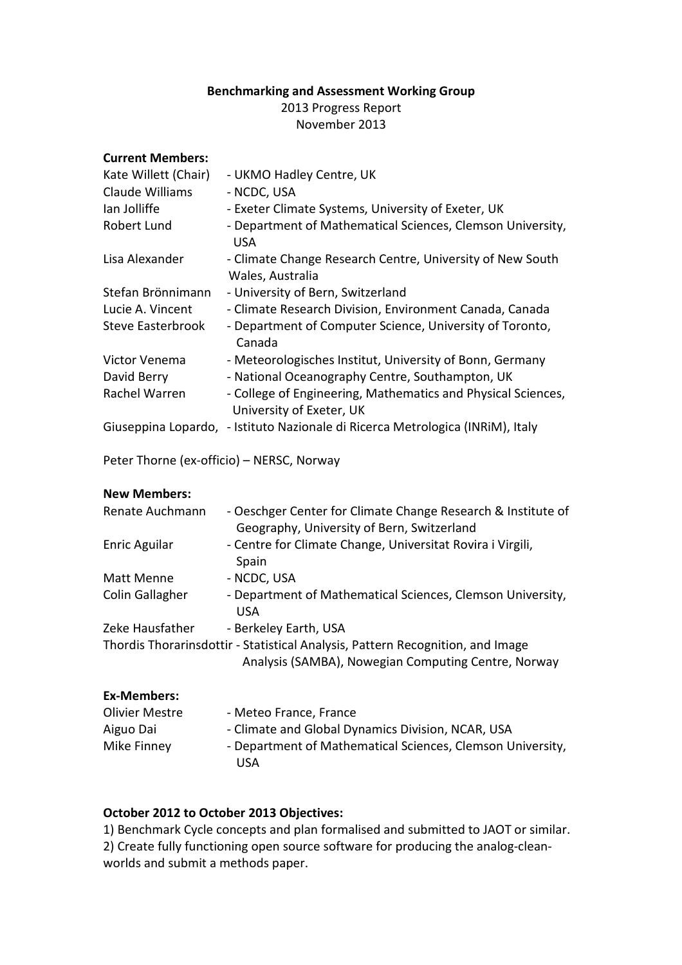## Benchmarking and Assessment Working Group

2013 Progress Report November 2013

| <b>Current Members:</b>                   |                                                                                                                                       |
|-------------------------------------------|---------------------------------------------------------------------------------------------------------------------------------------|
| Kate Willett (Chair)                      | - UKMO Hadley Centre, UK                                                                                                              |
| Claude Williams                           | - NCDC, USA                                                                                                                           |
| lan Jolliffe                              | - Exeter Climate Systems, University of Exeter, UK                                                                                    |
| Robert Lund                               | - Department of Mathematical Sciences, Clemson University,<br><b>USA</b>                                                              |
| Lisa Alexander                            | - Climate Change Research Centre, University of New South<br>Wales, Australia                                                         |
| Stefan Brönnimann                         | - University of Bern, Switzerland                                                                                                     |
| Lucie A. Vincent                          | - Climate Research Division, Environment Canada, Canada                                                                               |
| <b>Steve Easterbrook</b>                  | - Department of Computer Science, University of Toronto,<br>Canada                                                                    |
| Victor Venema                             | - Meteorologisches Institut, University of Bonn, Germany                                                                              |
| David Berry                               | - National Oceanography Centre, Southampton, UK                                                                                       |
| Rachel Warren                             | - College of Engineering, Mathematics and Physical Sciences,                                                                          |
|                                           | University of Exeter, UK                                                                                                              |
|                                           | Giuseppina Lopardo, - Istituto Nazionale di Ricerca Metrologica (INRIM), Italy                                                        |
| Peter Thorne (ex-officio) - NERSC, Norway |                                                                                                                                       |
| <b>New Members:</b>                       |                                                                                                                                       |
| Renate Auchmann                           | - Oeschger Center for Climate Change Research & Institute of<br>Geography, University of Bern, Switzerland                            |
| Enric Aguilar                             | - Centre for Climate Change, Universitat Rovira i Virgili,<br>Spain                                                                   |
| Matt Menne                                | - NCDC, USA                                                                                                                           |
| Colin Gallagher                           | - Department of Mathematical Sciences, Clemson University,<br><b>USA</b>                                                              |
| Zeke Hausfather                           | - Berkeley Earth, USA                                                                                                                 |
|                                           | Thordis Thorarinsdottir - Statistical Analysis, Pattern Recognition, and Image<br>Analysis (SAMBA), Nowegian Computing Centre, Norway |
| <b>Ex-Members:</b>                        |                                                                                                                                       |
| <b>Olivier Mestre</b>                     | - Meteo France, France                                                                                                                |
| Aiguo Dai                                 | - Climate and Global Dynamics Division, NCAR, USA                                                                                     |
| Mike Finney                               | - Department of Mathematical Sciences, Clemson University,<br><b>USA</b>                                                              |

# October 2012 to October 2013 Objectives:

1) Benchmark Cycle concepts and plan formalised and submitted to JAOT or similar. 2) Create fully functioning open source software for producing the analog-cleanworlds and submit a methods paper.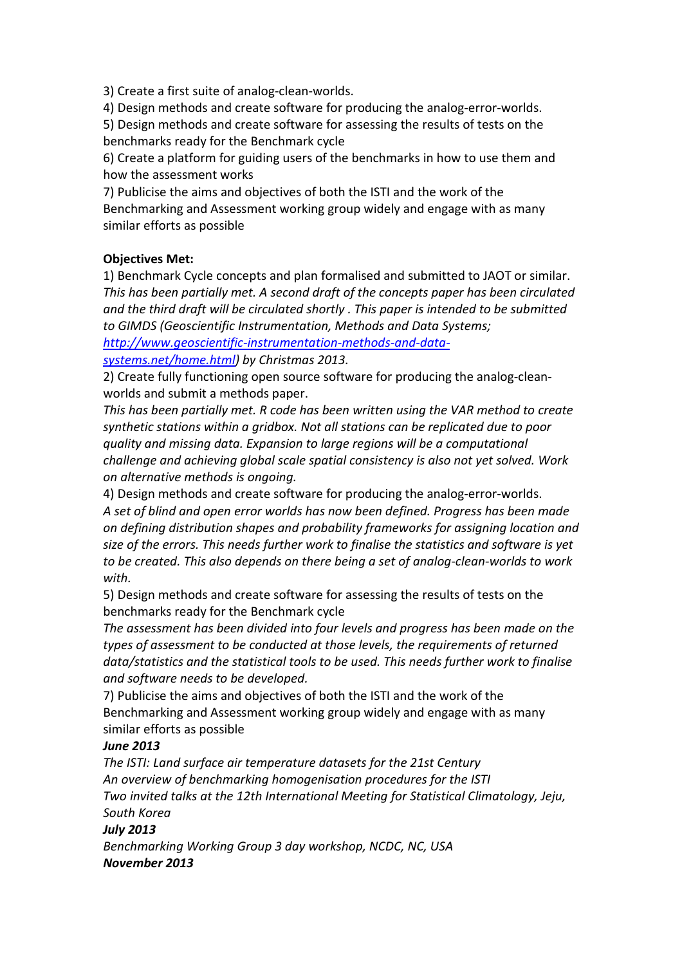3) Create a first suite of analog-clean-worlds.

4) Design methods and create software for producing the analog-error-worlds.

5) Design methods and create software for assessing the results of tests on the benchmarks ready for the Benchmark cycle

6) Create a platform for guiding users of the benchmarks in how to use them and how the assessment works

7) Publicise the aims and objectives of both the ISTI and the work of the Benchmarking and Assessment working group widely and engage with as many similar efforts as possible

## Objectives Met:

1) Benchmark Cycle concepts and plan formalised and submitted to JAOT or similar. This has been partially met. A second draft of the concepts paper has been circulated and the third draft will be circulated shortly . This paper is intended to be submitted to GIMDS (Geoscientific Instrumentation, Methods and Data Systems; http://www.geoscientific-instrumentation-methods-and-data-

systems.net/home.html) by Christmas 2013.

2) Create fully functioning open source software for producing the analog-cleanworlds and submit a methods paper.

This has been partially met. R code has been written using the VAR method to create synthetic stations within a gridbox. Not all stations can be replicated due to poor quality and missing data. Expansion to large regions will be a computational challenge and achieving global scale spatial consistency is also not yet solved. Work on alternative methods is ongoing.

4) Design methods and create software for producing the analog-error-worlds. A set of blind and open error worlds has now been defined. Progress has been made on defining distribution shapes and probability frameworks for assigning location and size of the errors. This needs further work to finalise the statistics and software is yet to be created. This also depends on there being a set of analog-clean-worlds to work with.

5) Design methods and create software for assessing the results of tests on the benchmarks ready for the Benchmark cycle

The assessment has been divided into four levels and progress has been made on the types of assessment to be conducted at those levels, the requirements of returned data/statistics and the statistical tools to be used. This needs further work to finalise and software needs to be developed.

7) Publicise the aims and objectives of both the ISTI and the work of the Benchmarking and Assessment working group widely and engage with as many similar efforts as possible

# June 2013

The ISTI: Land surface air temperature datasets for the 21st Century An overview of benchmarking homogenisation procedures for the ISTI Two invited talks at the 12th International Meeting for Statistical Climatology, Jeju, South Korea

### July 2013

Benchmarking Working Group 3 day workshop, NCDC, NC, USA November 2013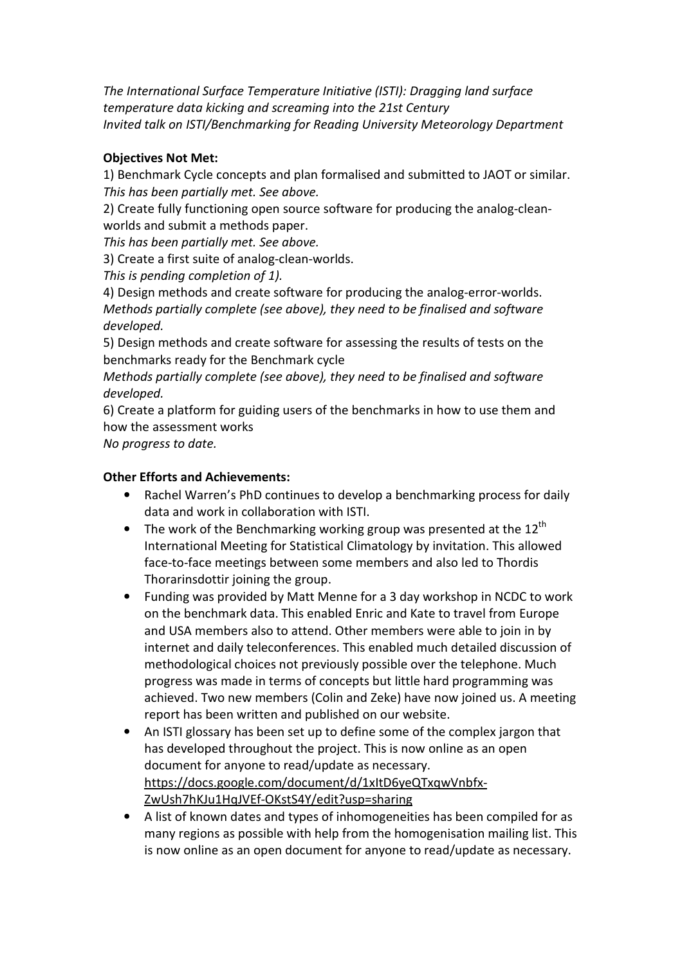The International Surface Temperature Initiative (ISTI): Dragging land surface temperature data kicking and screaming into the 21st Century Invited talk on ISTI/Benchmarking for Reading University Meteorology Department

## Objectives Not Met:

1) Benchmark Cycle concepts and plan formalised and submitted to JAOT or similar. This has been partially met. See above.

2) Create fully functioning open source software for producing the analog-cleanworlds and submit a methods paper.

This has been partially met. See above.

3) Create a first suite of analog-clean-worlds.

This is pending completion of 1).

4) Design methods and create software for producing the analog-error-worlds. Methods partially complete (see above), they need to be finalised and software developed.

5) Design methods and create software for assessing the results of tests on the benchmarks ready for the Benchmark cycle

Methods partially complete (see above), they need to be finalised and software developed.

6) Create a platform for guiding users of the benchmarks in how to use them and how the assessment works

No progress to date.

#### Other Efforts and Achievements:

- Rachel Warren's PhD continues to develop a benchmarking process for daily data and work in collaboration with ISTI.
- The work of the Benchmarking working group was presented at the  $12^{th}$ International Meeting for Statistical Climatology by invitation. This allowed face-to-face meetings between some members and also led to Thordis Thorarinsdottir joining the group.
- Funding was provided by Matt Menne for a 3 day workshop in NCDC to work on the benchmark data. This enabled Enric and Kate to travel from Europe and USA members also to attend. Other members were able to join in by internet and daily teleconferences. This enabled much detailed discussion of methodological choices not previously possible over the telephone. Much progress was made in terms of concepts but little hard programming was achieved. Two new members (Colin and Zeke) have now joined us. A meeting report has been written and published on our website.
- An ISTI glossary has been set up to define some of the complex jargon that has developed throughout the project. This is now online as an open document for anyone to read/update as necessary. https://docs.google.com/document/d/1xItD6yeQTxqwVnbfx-ZwUsh7hKJu1HqJVEf-OKstS4Y/edit?usp=sharing
- A list of known dates and types of inhomogeneities has been compiled for as many regions as possible with help from the homogenisation mailing list. This is now online as an open document for anyone to read/update as necessary.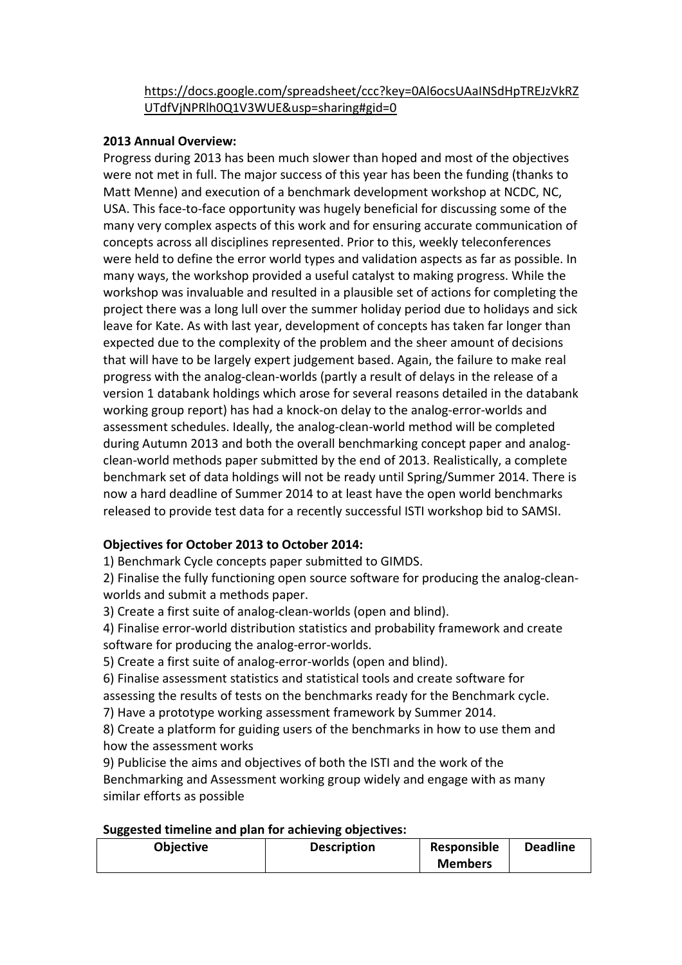## https://docs.google.com/spreadsheet/ccc?key=0Al6ocsUAaINSdHpTREJzVkRZ UTdfVjNPRlh0Q1V3WUE&usp=sharing#gid=0

#### 2013 Annual Overview:

Progress during 2013 has been much slower than hoped and most of the objectives were not met in full. The major success of this year has been the funding (thanks to Matt Menne) and execution of a benchmark development workshop at NCDC, NC, USA. This face-to-face opportunity was hugely beneficial for discussing some of the many very complex aspects of this work and for ensuring accurate communication of concepts across all disciplines represented. Prior to this, weekly teleconferences were held to define the error world types and validation aspects as far as possible. In many ways, the workshop provided a useful catalyst to making progress. While the workshop was invaluable and resulted in a plausible set of actions for completing the project there was a long lull over the summer holiday period due to holidays and sick leave for Kate. As with last year, development of concepts has taken far longer than expected due to the complexity of the problem and the sheer amount of decisions that will have to be largely expert judgement based. Again, the failure to make real progress with the analog-clean-worlds (partly a result of delays in the release of a version 1 databank holdings which arose for several reasons detailed in the databank working group report) has had a knock-on delay to the analog-error-worlds and assessment schedules. Ideally, the analog-clean-world method will be completed during Autumn 2013 and both the overall benchmarking concept paper and analogclean-world methods paper submitted by the end of 2013. Realistically, a complete benchmark set of data holdings will not be ready until Spring/Summer 2014. There is now a hard deadline of Summer 2014 to at least have the open world benchmarks released to provide test data for a recently successful ISTI workshop bid to SAMSI.

### Objectives for October 2013 to October 2014:

1) Benchmark Cycle concepts paper submitted to GIMDS.

2) Finalise the fully functioning open source software for producing the analog-cleanworlds and submit a methods paper.

3) Create a first suite of analog-clean-worlds (open and blind).

4) Finalise error-world distribution statistics and probability framework and create software for producing the analog-error-worlds.

5) Create a first suite of analog-error-worlds (open and blind).

6) Finalise assessment statistics and statistical tools and create software for assessing the results of tests on the benchmarks ready for the Benchmark cycle.

7) Have a prototype working assessment framework by Summer 2014.

8) Create a platform for guiding users of the benchmarks in how to use them and how the assessment works

9) Publicise the aims and objectives of both the ISTI and the work of the Benchmarking and Assessment working group widely and engage with as many similar efforts as possible

#### Suggested timeline and plan for achieving objectives:

| <b>Objective</b> | <b>Description</b> | Responsible    | <b>Deadline</b> |
|------------------|--------------------|----------------|-----------------|
|                  |                    | <b>Members</b> |                 |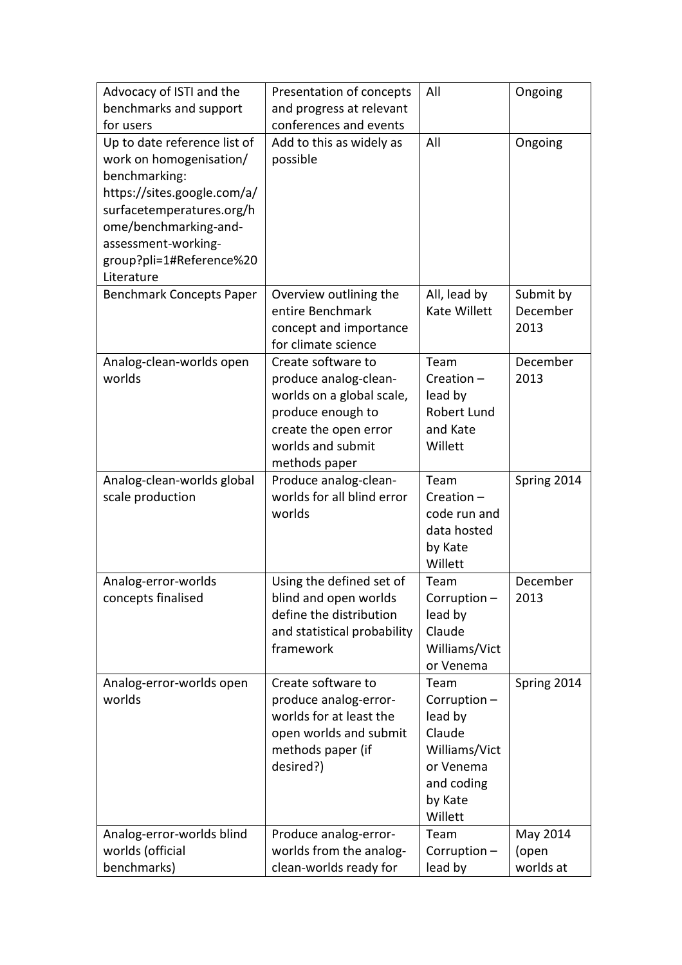| Advocacy of ISTI and the                       | Presentation of concepts                            | All               | Ongoing     |
|------------------------------------------------|-----------------------------------------------------|-------------------|-------------|
| benchmarks and support                         | and progress at relevant                            |                   |             |
| for users                                      | conferences and events                              |                   |             |
| Up to date reference list of                   | Add to this as widely as                            | All               | Ongoing     |
| work on homogenisation/                        | possible                                            |                   |             |
| benchmarking:                                  |                                                     |                   |             |
| https://sites.google.com/a/                    |                                                     |                   |             |
| surfacetemperatures.org/h                      |                                                     |                   |             |
| ome/benchmarking-and-                          |                                                     |                   |             |
| assessment-working-                            |                                                     |                   |             |
| group?pli=1#Reference%20                       |                                                     |                   |             |
| Literature                                     |                                                     |                   |             |
| <b>Benchmark Concepts Paper</b>                | Overview outlining the                              | All, lead by      | Submit by   |
|                                                | entire Benchmark                                    | Kate Willett      | December    |
|                                                | concept and importance                              |                   | 2013        |
|                                                | for climate science                                 |                   |             |
| Analog-clean-worlds open                       | Create software to                                  | Team              | December    |
| worlds                                         | produce analog-clean-                               | Creation-         | 2013        |
|                                                | worlds on a global scale,                           | lead by           |             |
|                                                | produce enough to                                   | Robert Lund       |             |
|                                                | create the open error                               | and Kate          |             |
|                                                | worlds and submit                                   | Willett           |             |
|                                                | methods paper                                       |                   |             |
| Analog-clean-worlds global<br>scale production | Produce analog-clean-<br>worlds for all blind error | Team<br>Creation- | Spring 2014 |
|                                                | worlds                                              | code run and      |             |
|                                                |                                                     | data hosted       |             |
|                                                |                                                     | by Kate           |             |
|                                                |                                                     | Willett           |             |
| Analog-error-worlds                            | Using the defined set of                            | Team              | December    |
| concepts finalised                             | blind and open worlds                               | Corruption-       | 2013        |
|                                                | define the distribution                             | lead by           |             |
|                                                | and statistical probability                         | Claude            |             |
|                                                | framework                                           | Williams/Vict     |             |
|                                                |                                                     | or Venema         |             |
| Analog-error-worlds open                       | Create software to                                  | Team              | Spring 2014 |
| worlds                                         | produce analog-error-                               | Corruption-       |             |
|                                                | worlds for at least the                             | lead by           |             |
|                                                | open worlds and submit                              | Claude            |             |
|                                                | methods paper (if                                   | Williams/Vict     |             |
|                                                | desired?)                                           | or Venema         |             |
|                                                |                                                     | and coding        |             |
|                                                |                                                     | by Kate           |             |
|                                                |                                                     | Willett           |             |
| Analog-error-worlds blind                      | Produce analog-error-                               | Team              | May 2014    |
| worlds (official                               | worlds from the analog-                             | Corruption-       | (open       |
| benchmarks)                                    | clean-worlds ready for                              | lead by           | worlds at   |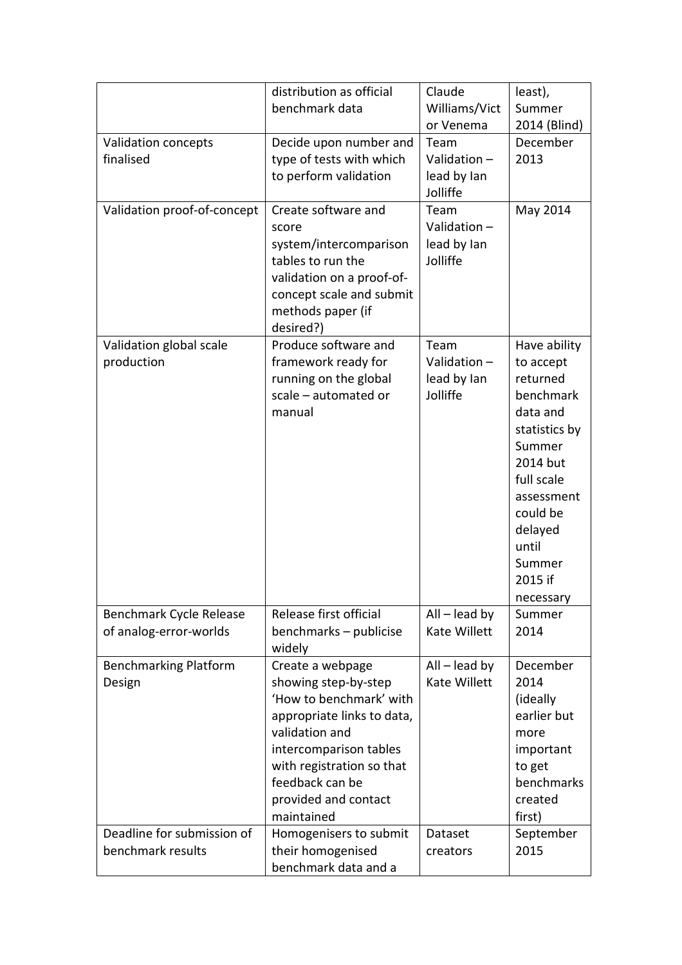|                                                   | distribution as official<br>benchmark data                                                                                                                                                                                          | Claude<br>Williams/Vict                        | least),<br>Summer                                                                                                                                                                                   |
|---------------------------------------------------|-------------------------------------------------------------------------------------------------------------------------------------------------------------------------------------------------------------------------------------|------------------------------------------------|-----------------------------------------------------------------------------------------------------------------------------------------------------------------------------------------------------|
|                                                   |                                                                                                                                                                                                                                     | or Venema                                      | 2014 (Blind)                                                                                                                                                                                        |
| Validation concepts<br>finalised                  | Decide upon number and<br>type of tests with which<br>to perform validation                                                                                                                                                         | Team<br>Validation-<br>lead by lan<br>Jolliffe | December<br>2013                                                                                                                                                                                    |
| Validation proof-of-concept                       | Create software and<br>score<br>system/intercomparison<br>tables to run the<br>validation on a proof-of-<br>concept scale and submit<br>methods paper (if<br>desired?)                                                              | Team<br>Validation-<br>lead by lan<br>Jolliffe | May 2014                                                                                                                                                                                            |
| Validation global scale<br>production             | Produce software and<br>framework ready for<br>running on the global<br>scale - automated or<br>manual                                                                                                                              | Team<br>Validation-<br>lead by lan<br>Jolliffe | Have ability<br>to accept<br>returned<br>benchmark<br>data and<br>statistics by<br>Summer<br>2014 but<br>full scale<br>assessment<br>could be<br>delayed<br>until<br>Summer<br>2015 if<br>necessary |
| Benchmark Cycle Release<br>of analog-error-worlds | Release first official<br>benchmarks - publicise<br>widely                                                                                                                                                                          | $All$ – lead by<br>Kate Willett                | Summer<br>2014                                                                                                                                                                                      |
| <b>Benchmarking Platform</b><br>Design            | Create a webpage<br>showing step-by-step<br>'How to benchmark' with<br>appropriate links to data,<br>validation and<br>intercomparison tables<br>with registration so that<br>feedback can be<br>provided and contact<br>maintained | $All$ – lead by<br>Kate Willett                | December<br>2014<br>(ideally<br>earlier but<br>more<br>important<br>to get<br>benchmarks<br>created<br>first)                                                                                       |
| Deadline for submission of<br>benchmark results   | Homogenisers to submit<br>their homogenised<br>benchmark data and a                                                                                                                                                                 | Dataset<br>creators                            | September<br>2015                                                                                                                                                                                   |